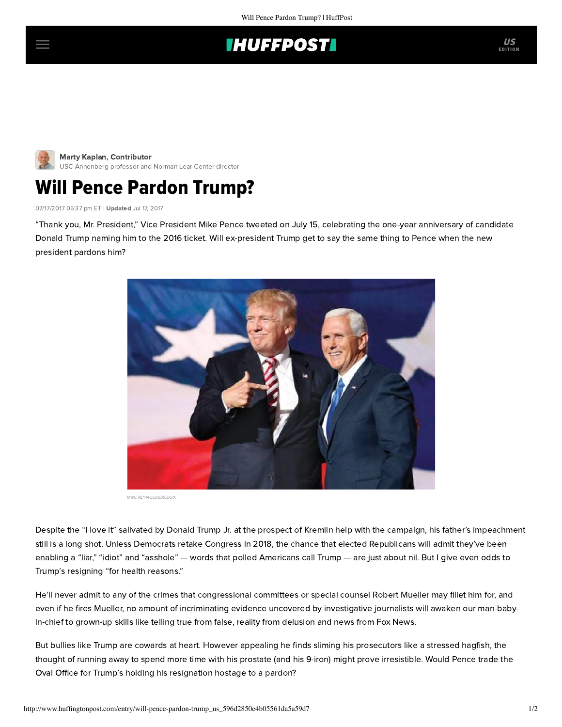## **IHUFFPOSTI**



Marty Kaplan, Contributor [USC Annenberg professor and Norman Lear Center director](http://www.huffingtonpost.com/author/marty-kaplan)

## Will Pence Pardon Trump?

07/17/2017 05:37 pm ET | Updated Jul 17, 2017

"Thank you, Mr. President," Vice President Mike Pence tweeted on July 15, celebrating the one-year anniversary of candidate Donald Trump naming him to the 2016 ticket. Will ex-president Trump get to say the same thing to Pence when the new president pardons him?



MIKE REYNOLDS/REDUX

Despite the "I love it" salivated by Donald Trump Jr. at the prospect of Kremlin help with the campaign, his father's impeachment still is a long shot. Unless Democrats retake Congress in 2018, the chance that elected Republicans will admit they've been enabling a "liar," "idiot" and "asshole" — words that polled Americans [call](http://jewishjournal.com/opinion/marty_kaplan/221189/rogets-trumpasaurus/) Trump — are just about nil. But I give even odds to Trump's resigning "for health reasons."

He'll never admit to any of the crimes that congressional committees or special counsel Robert Mueller may fillet him for, and even if he fires Mueller, no amount of incriminating evidence uncovered by investigative journalists will awaken our man-babyin-chief to grown-up skills like telling true from false, reality from delusion and news from Fox News.

But bullies like Trump are cowards at heart. However appealing he finds sliming his prosecutors like a stressed [hagfish,](https://www.nytimes.com/2017/07/14/us/slime-eels-oregon.html) the thought of running away to spend more time with his prostate (and his 9-iron) might prove irresistible. Would Pence trade the Oval Office for Trump's holding his resignation hostage to a pardon?